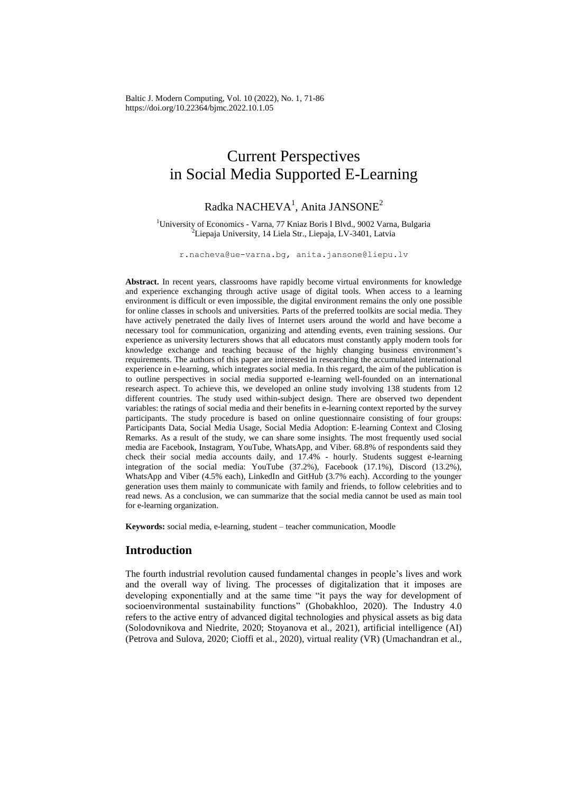Baltic J. Modern Computing, Vol. 10 (2022), No. 1, 71-86 https://doi.org/10.22364/bjmc.2022.10.1.05

# Current Perspectives in Social Media Supported E-Learning

# $Radka$   $NACHEVA<sup>1</sup>$ , Anita JANSONE<sup>2</sup>

<sup>1</sup>University of Economics - Varna, 77 Kniaz Boris I Blvd., 9002 Varna, Bulgaria <sup>2</sup> Liepaja University, 14 Liela Str., Liepaja, LV-3401, Latvia

[r.nacheva@ue-varna.bg,](mailto:r.nacheva@ue-varna.bg) anita.jansone@liepu.lv

**Abstract.** In recent years, classrooms have rapidly become virtual environments for knowledge and experience exchanging through active usage of digital tools. When access to a learning environment is difficult or even impossible, the digital environment remains the only one possible for online classes in schools and universities. Parts of the preferred toolkits are social media. They have actively penetrated the daily lives of Internet users around the world and have become a necessary tool for communication, organizing and attending events, even training sessions. Our experience as university lecturers shows that all educators must constantly apply modern tools for knowledge exchange and teaching because of the highly changing business environment's requirements. The authors of this paper are interested in researching the accumulated international experience in e-learning, which integrates social media. In this regard, the aim of the publication is to outline perspectives in social media supported e-learning well-founded on an international research aspect. To achieve this, we developed an online study involving 138 students from 12 different countries. The study used within-subject design. There are observed two dependent variables: the ratings of social media and their benefits in e-learning context reported by the survey participants. The study procedure is based on online questionnaire consisting of four groups: Participants Data, Social Media Usage, Social Media Adoption: E-learning Context and Closing Remarks. As a result of the study, we can share some insights. The most frequently used social media are Facebook, Instagram, YouTube, WhatsApp, and Viber. 68.8% of respondents said they check their social media accounts daily, and 17.4% - hourly. Students suggest e-learning integration of the social media: YouTube (37.2%), Facebook (17.1%), Discord (13.2%), WhatsApp and Viber (4.5% each), LinkedIn and GitHub (3.7% each). According to the younger generation uses them mainly to communicate with family and friends, to follow celebrities and to read news. As a conclusion, we can summarize that the social media cannot be used as main tool for e-learning organization.

**Keywords:** social media, e-learning, student – teacher communication, Moodle

# **Introduction**

The fourth industrial revolution caused fundamental changes in people's lives and work and the overall way of living. The processes of digitalization that it imposes are developing exponentially and at the same time "it pays the way for development of socioenvironmental sustainability functions" (Ghobakhloo, 2020). The Industry 4.0 refers to the active entry of advanced digital technologies and physical assets as big data (Solodovnikova and Niedrite, 2020; Stoyanova et al., 2021), artificial intelligence (AI) (Petrova and Sulova, 2020; Cioffi et al., 2020), virtual reality (VR) (Umachandran et al.,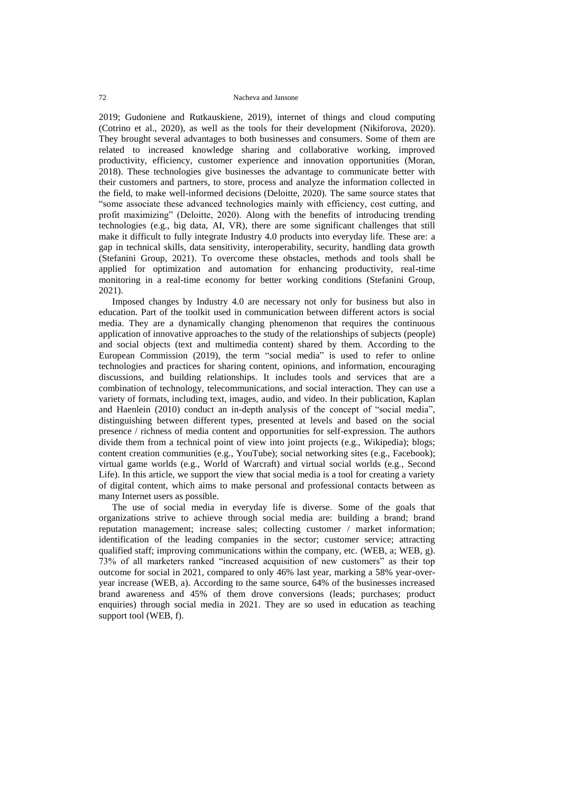2019; Gudoniene and Rutkauskiene, 2019), internet of things and cloud computing (Cotrino et al., 2020), as well as the tools for their development (Nikiforova, 2020). They brought several advantages to both businesses and consumers. Some of them are related to increased knowledge sharing and collaborative working, improved productivity, efficiency, customer experience and innovation opportunities (Moran, 2018). These technologies give businesses the advantage to communicate better with their customers and partners, to store, process and analyze the information collected in the field, to make well-informed decisions (Deloitte, 2020). The same source states that "some associate these advanced technologies mainly with efficiency, cost cutting, and profit maximizing" (Deloitte, 2020). Along with the benefits of introducing trending technologies (e.g., big data, AI, VR), there are some significant challenges that still make it difficult to fully integrate Industry 4.0 products into everyday life. These are: a gap in technical skills, data sensitivity, interoperability, security, handling data growth (Stefanini Group, 2021). To overcome these obstacles, methods and tools shall be applied for optimization and automation for enhancing productivity, real-time monitoring in a real-time economy for better working conditions (Stefanini Group, 2021).

Imposed changes by Industry 4.0 are necessary not only for business but also in education. Part of the toolkit used in communication between different actors is social media. They are a dynamically changing phenomenon that requires the continuous application of innovative approaches to the study of the relationships of subjects (people) and social objects (text and multimedia content) shared by them. According to the European Commission (2019), the term "social media" is used to refer to online technologies and practices for sharing content, opinions, and information, encouraging discussions, and building relationships. It includes tools and services that are a combination of technology, telecommunications, and social interaction. They can use a variety of formats, including text, images, audio, and video. In their publication, Kaplan and Haenlein (2010) conduct an in-depth analysis of the concept of "social media", distinguishing between different types, presented at levels and based on the social presence / richness of media content and opportunities for self-expression. The authors divide them from a technical point of view into joint projects (e.g., Wikipedia); blogs; content creation communities (e.g., YouTube); social networking sites (e.g., Facebook); virtual game worlds (e.g., World of Warcraft) and virtual social worlds (e.g., Second Life). In this article, we support the view that social media is a tool for creating a variety of digital content, which aims to make personal and professional contacts between as many Internet users as possible.

The use of social media in everyday life is diverse. Some of the goals that organizations strive to achieve through social media are: building a brand; brand reputation management; increase sales; collecting customer / market information; identification of the leading companies in the sector; customer service; attracting qualified staff; improving communications within the company, etc. (WEB, a; WEB, g). 73% of all marketers ranked "increased acquisition of new customers" as their top outcome for social in 2021, compared to only 46% last year, marking a 58% year-overyear increase (WEB, a). According to the same source, 64% of the businesses increased brand awareness and 45% of them drove conversions (leads; purchases; product enquiries) through social media in 2021. They are so used in education as teaching support tool (WEB, f).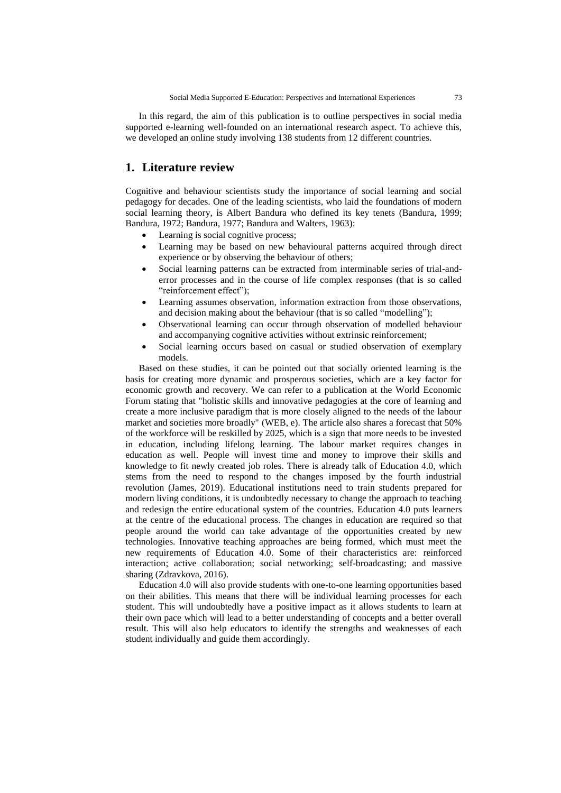In this regard, the aim of this publication is to outline perspectives in social media supported e-learning well-founded on an international research aspect. To achieve this, we developed an online study involving 138 students from 12 different countries.

# **1. Literature review**

Cognitive and behaviour scientists study the importance of social learning and social pedagogy for decades. One of the leading scientists, who laid the foundations of modern social learning theory, is Albert Bandura who defined its key tenets (Bandura, 1999; Bandura, 1972; Bandura, 1977; Bandura and Walters, 1963):

- Learning is social cognitive process:
- Learning may be based on new behavioural patterns acquired through direct experience or by observing the behaviour of others;
- Social learning patterns can be extracted from interminable series of trial-anderror processes and in the course of life complex responses (that is so called "reinforcement effect");
- Learning assumes observation, information extraction from those observations, and decision making about the behaviour (that is so called "modelling");
- Observational learning can occur through observation of modelled behaviour and accompanying cognitive activities without extrinsic reinforcement;
- Social learning occurs based on casual or studied observation of exemplary models.

Based on these studies, it can be pointed out that socially oriented learning is the basis for creating more dynamic and prosperous societies, which are a key factor for economic growth and recovery. We can refer to a publication at the World Economic Forum stating that "holistic skills and innovative pedagogies at the core of learning and create a more inclusive paradigm that is more closely aligned to the needs of the labour market and societies more broadly" (WEB, e). The article also shares a forecast that 50% of the workforce will be reskilled by 2025, which is a sign that more needs to be invested in education, including lifelong learning. The labour market requires changes in education as well. People will invest time and money to improve their skills and knowledge to fit newly created job roles. There is already talk of Education 4.0, which stems from the need to respond to the changes imposed by the fourth industrial revolution (James, 2019). Educational institutions need to train students prepared for modern living conditions, it is undoubtedly necessary to change the approach to teaching and redesign the entire educational system of the countries. Education 4.0 puts learners at the centre of the educational process. The changes in education are required so that people around the world can take advantage of the opportunities created by new technologies. Innovative teaching approaches are being formed, which must meet the new requirements of Education 4.0. Some of their characteristics are: reinforced interaction; active collaboration; social networking; self-broadcasting; and massive sharing (Zdravkova, 2016).

Education 4.0 will also provide students with one-to-one learning opportunities based on their abilities. This means that there will be individual learning processes for each student. This will undoubtedly have a positive impact as it allows students to learn at their own pace which will lead to a better understanding of concepts and a better overall result. This will also help educators to identify the strengths and weaknesses of each student individually and guide them accordingly.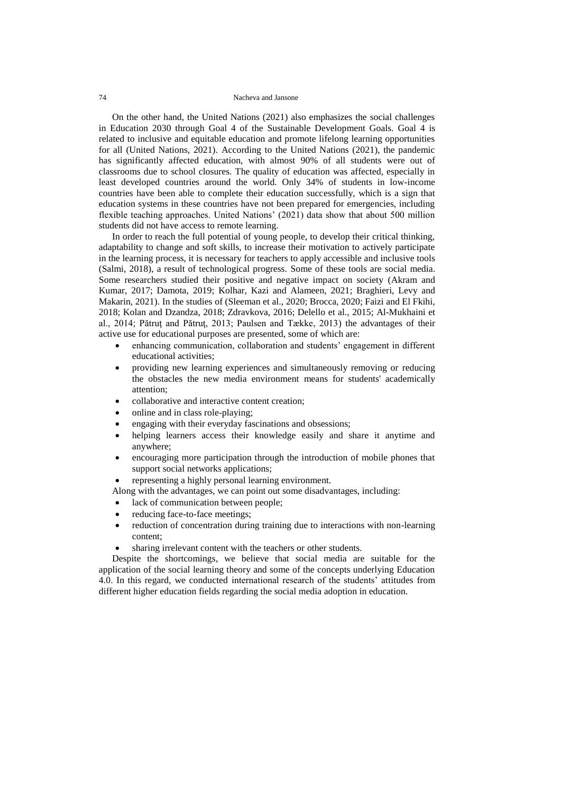On the other hand, the United Nations (2021) also emphasizes the social challenges in Education 2030 through Goal 4 of the Sustainable Development Goals. Goal 4 is related to inclusive and equitable education and promote lifelong learning opportunities for all (United Nations, 2021). According to the United Nations (2021), the pandemic has significantly affected education, with almost 90% of all students were out of classrooms due to school closures. The quality of education was affected, especially in least developed countries around the world. Only 34% of students in low-income countries have been able to complete their education successfully, which is a sign that education systems in these countries have not been prepared for emergencies, including flexible teaching approaches. United Nations' (2021) data show that about 500 million students did not have access to remote learning.

In order to reach the full potential of young people, to develop their critical thinking, adaptability to change and soft skills, to increase their motivation to actively participate in the learning process, it is necessary for teachers to apply accessible and inclusive tools (Salmi, 2018), a result of technological progress. Some of these tools are social media. Some researchers studied their positive and negative impact on society (Akram and Kumar, 2017; Damota, 2019; Kolhar, Kazi and Alameen, 2021; Braghieri, Levy and Makarin, 2021). In the studies of (Sleeman et al., 2020; Brocca, 2020; Faizi and El Fkihi, 2018; Kolan and Dzandza, 2018; Zdravkova, 2016; Delello et al., 2015; Al-Mukhaini et al., 2014; Pătruţ and Pătruţ, 2013; Paulsen and Tække, 2013) the advantages of their active use for educational purposes are presented, some of which are:

- enhancing communication, collaboration and students' engagement in different educational activities;
- providing new learning experiences and simultaneously removing or reducing the obstacles the new media environment means for students' academically attention;
- collaborative and interactive content creation;
- online and in class role-playing;
- engaging with their everyday fascinations and obsessions;
- helping learners access their knowledge easily and share it anytime and anywhere;
- encouraging more participation through the introduction of mobile phones that support social networks applications;
- representing a highly personal learning environment.
- Along with the advantages, we can point out some disadvantages, including:
- lack of communication between people;
- reducing face-to-face meetings;
- reduction of concentration during training due to interactions with non-learning content;
- sharing irrelevant content with the teachers or other students.

Despite the shortcomings, we believe that social media are suitable for the application of the social learning theory and some of the concepts underlying Education 4.0. In this regard, we conducted international research of the students' attitudes from different higher education fields regarding the social media adoption in education.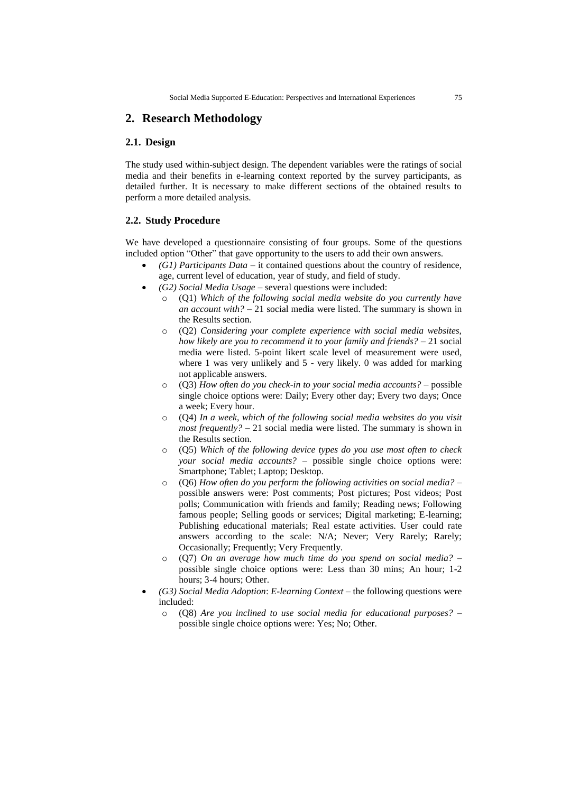# **2. Research Methodology**

# **2.1. Design**

The study used within-subject design. The dependent variables were the ratings of social media and their benefits in e-learning context reported by the survey participants, as detailed further. It is necessary to make different sections of the obtained results to perform a more detailed analysis.

# **2.2. Study Procedure**

We have developed a questionnaire consisting of four groups. Some of the questions included option "Other" that gave opportunity to the users to add their own answers.

- *(G1) Participants Data* it contained questions about the country of residence, age, current level of education, year of study, and field of study.
- *(G2) Social Media Usage* several questions were included:
	- o (Q1) *Which of the following social media website do you currently have an account with?* – 21 social media were listed. The summary is shown in the Results section.
	- o (Q2) *Considering your complete experience with social media websites, how likely are you to recommend it to your family and friends?* – 21 social media were listed. 5-point likert scale level of measurement were used, where 1 was very unlikely and 5 - very likely. 0 was added for marking not applicable answers.
	- o (Q3) *How often do you check-in to your social media accounts?* possible single choice options were: Daily; Every other day; Every two days; Once a week; Every hour.
	- o (Q4) *In a week, which of the following social media websites do you visit most frequently?* – 21 social media were listed. The summary is shown in the Results section.
	- o (Q5) *Which of the following device types do you use most often to check your social media accounts?* – possible single choice options were: Smartphone; Tablet; Laptop; Desktop.
	- o (Q6) *How often do you perform the following activities on social media?* possible answers were: Post comments; Post pictures; Post videos; Post polls; Communication with friends and family; Reading news; Following famous people; Selling goods or services; Digital marketing; E-learning; Publishing educational materials; Real estate activities. User could rate answers according to the scale: N/A; Never; Very Rarely; Rarely; Occasionally; Frequently; Very Frequently.
	- o (Q7) *On an average how much time do you spend on social media?* possible single choice options were: Less than 30 mins; An hour; 1-2 hours; 3-4 hours; Other.
- *(G3) Social Media Adoption*: *E-learning Context* the following questions were included:
	- o (Q8) *Are you inclined to use social media for educational purposes?* possible single choice options were: Yes; No; Other.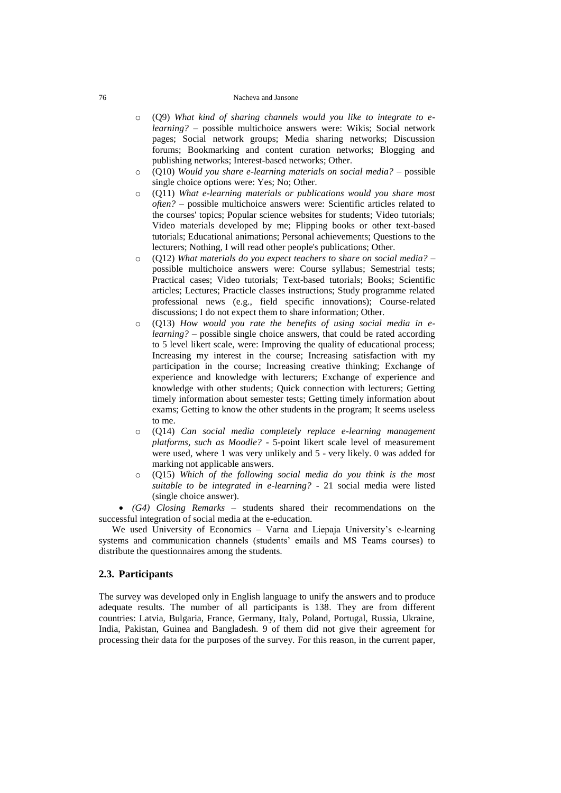- o (Q9) *What kind of sharing channels would you like to integrate to elearning?* – possible multichoice answers were: Wikis; Social network pages; Social network groups; Media sharing networks; Discussion forums; Bookmarking and content curation networks; Blogging and publishing networks; Interest-based networks; Other.
- o (Q10) *Would you share e-learning materials on social media?* possible single choice options were: Yes; No; Other.
- o (Q11) *What e-learning materials or publications would you share most often?* – possible multichoice answers were: Scientific articles related to the courses' topics; Popular science websites for students; Video tutorials; Video materials developed by me; Flipping books or other text-based tutorials; Educational animations; Personal achievements; Questions to the lecturers; Nothing, I will read other people's publications; Other.
- o (Q12) *What materials do you expect teachers to share on social media?* possible multichoice answers were: Course syllabus; Semestrial tests; Practical cases; Video tutorials; Text-based tutorials; Books; Scientific articles; Lectures; Practicle classes instructions; Study programme related professional news (e.g., field specific innovations); Course-related discussions; I do not expect them to share information; Other.
- o (Q13) *How would you rate the benefits of using social media in elearning?* – possible single choice answers, that could be rated according to 5 level likert scale, were: Improving the quality of educational process; Increasing my interest in the course; Increasing satisfaction with my participation in the course; Increasing creative thinking; Exchange of experience and knowledge with lecturers; Exchange of experience and knowledge with other students; Quick connection with lecturers; Getting timely information about semester tests; Getting timely information about exams; Getting to know the other students in the program; It seems useless to me.
- o (Q14) *Can social media completely replace e-learning management platforms, such as Moodle?* - 5-point likert scale level of measurement were used, where 1 was very unlikely and 5 - very likely. 0 was added for marking not applicable answers.
- (Q15) Which of the following social media do you think is the most *suitable to be integrated in e-learning?* - 21 social media were listed (single choice answer).

 *(G4) Closing Remarks* – students shared their recommendations on the successful integration of social media at the e-education.

We used University of Economics – Varna and Liepaja University's e-learning systems and communication channels (students' emails and MS Teams courses) to distribute the questionnaires among the students.

# **2.3. Participants**

The survey was developed only in English language to unify the answers and to produce adequate results. The number of all participants is 138. They are from different countries: Latvia, Bulgaria, France, Germany, Italy, Poland, Portugal, Russia, Ukraine, India, Pakistan, Guinea and Bangladesh. 9 of them did not give their agreement for processing their data for the purposes of the survey. For this reason, in the current paper,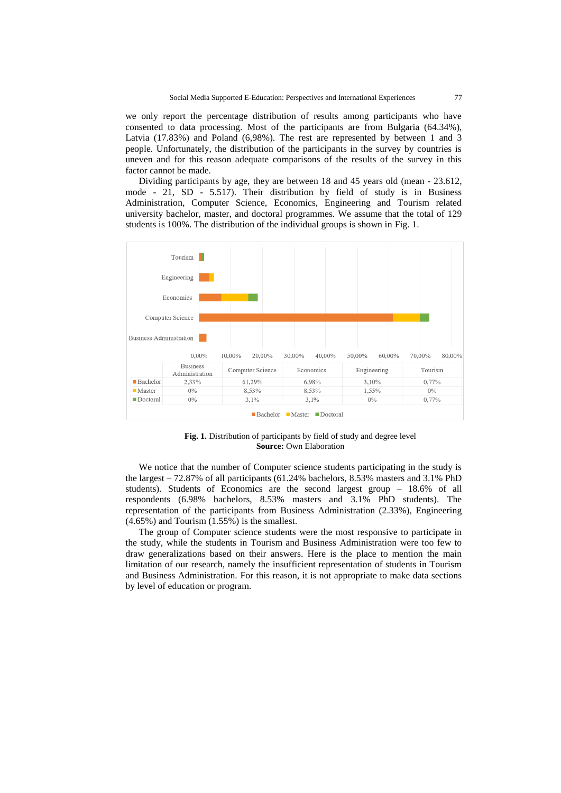we only report the percentage distribution of results among participants who have consented to data processing. Most of the participants are from Bulgaria (64.34%), Latvia (17.83%) and Poland (6,98%). The rest are represented by between 1 and 3 people. Unfortunately, the distribution of the participants in the survey by countries is uneven and for this reason adequate comparisons of the results of the survey in this factor cannot be made.

Dividing participants by age, they are between 18 and 45 years old (mean - 23.612, mode - 21, SD - 5.517). Their distribution by field of study is in Business Administration, Computer Science, Economics, Engineering and Tourism related university bachelor, master, and doctoral programmes. We assume that the total of 129 students is 100%. The distribution of the individual groups is shown in Fig. 1.



**Fig. 1.** Distribution of participants by field of study and degree level **Source:** Own Elaboration

We notice that the number of Computer science students participating in the study is the largest – 72.87% of all participants (61.24% bachelors, 8.53% masters and 3.1% PhD students). Students of Economics are the second largest group – 18.6% of all respondents (6.98% bachelors, 8.53% masters and 3.1% PhD students). The representation of the participants from Business Administration (2.33%), Engineering (4.65%) and Tourism (1.55%) is the smallest.

The group of Computer science students were the most responsive to participate in the study, while the students in Tourism and Business Administration were too few to draw generalizations based on their answers. Here is the place to mention the main limitation of our research, namely the insufficient representation of students in Tourism and Business Administration. For this reason, it is not appropriate to make data sections by level of education or program.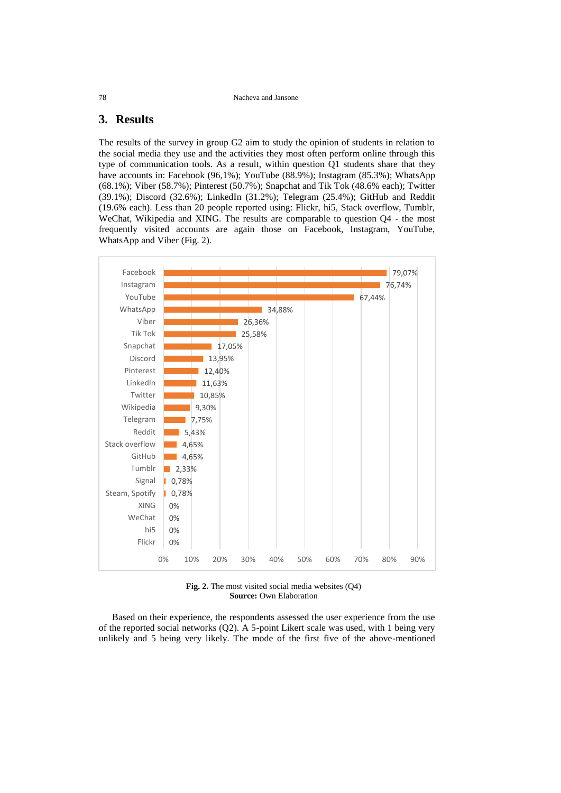# **3. Results**

The results of the survey in group G2 aim to study the opinion of students in relation to the social media they use and the activities they most often perform online through this type of communication tools. As a result, within question Q1 students share that they have accounts in: Facebook (96,1%); YouTube (88.9%); Instagram (85.3%); WhatsApp (68.1%); Viber (58.7%); Pinterest (50.7%); Snapchat and Tik Tok (48.6% each); Twitter (39.1%); Discord (32.6%); LinkedIn (31.2%); Telegram (25.4%); GitHub and Reddit (19.6% each). Less than 20 people reported using: Flickr, hi5, Stack overflow, Tumblr, WeChat, Wikipedia and XING. The results are comparable to question Q4 - the most frequently visited accounts are again those on Facebook, Instagram, YouTube, WhatsApp and Viber (Fig. 2).



**Fig. 2.** The most visited social media websites (Q4) **Source:** Own Elaboration

Based on their experience, the respondents assessed the user experience from the use of the reported social networks (Q2). A 5-point Likert scale was used, with 1 being very unlikely and 5 being very likely. The mode of the first five of the above-mentioned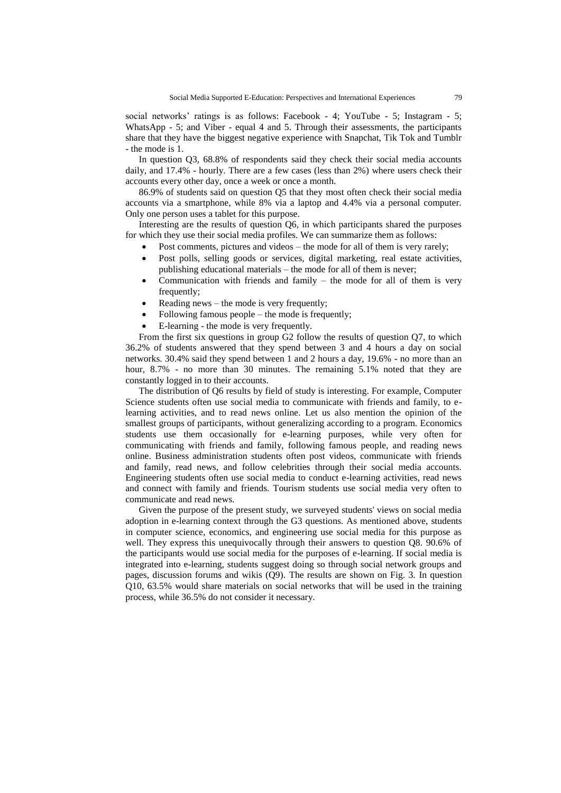social networks' ratings is as follows: Facebook - 4; YouTube - 5; Instagram - 5; WhatsApp - 5; and Viber - equal 4 and 5. Through their assessments, the participants share that they have the biggest negative experience with Snapchat, Tik Tok and Tumblr - the mode is 1.

In question Q3, 68.8% of respondents said they check their social media accounts daily, and 17.4% - hourly. There are a few cases (less than 2%) where users check their accounts every other day, once a week or once a month.

86.9% of students said on question Q5 that they most often check their social media accounts via a smartphone, while 8% via a laptop and 4.4% via a personal computer. Only one person uses a tablet for this purpose.

Interesting are the results of question Q6, in which participants shared the purposes for which they use their social media profiles. We can summarize them as follows:

- Post comments, pictures and videos the mode for all of them is very rarely;
- Post polls, selling goods or services, digital marketing, real estate activities, publishing educational materials – the mode for all of them is never;
- Communication with friends and family the mode for all of them is very frequently;
- Reading news the mode is very frequently;
- Following famous people the mode is frequently;
- E-learning the mode is very frequently.

From the first six questions in group G2 follow the results of question Q7, to which 36.2% of students answered that they spend between 3 and 4 hours a day on social networks. 30.4% said they spend between 1 and 2 hours a day, 19.6% - no more than an hour, 8.7% - no more than 30 minutes. The remaining 5.1% noted that they are constantly logged in to their accounts.

The distribution of Q6 results by field of study is interesting. For example, Computer Science students often use social media to communicate with friends and family, to elearning activities, and to read news online. Let us also mention the opinion of the smallest groups of participants, without generalizing according to a program. Economics students use them occasionally for e-learning purposes, while very often for communicating with friends and family, following famous people, and reading news online. Business administration students often post videos, communicate with friends and family, read news, and follow celebrities through their social media accounts. Engineering students often use social media to conduct e-learning activities, read news and connect with family and friends. Tourism students use social media very often to communicate and read news.

Given the purpose of the present study, we surveyed students' views on social media adoption in e-learning context through the G3 questions. As mentioned above, students in computer science, economics, and engineering use social media for this purpose as well. They express this unequivocally through their answers to question Q8. 90.6% of the participants would use social media for the purposes of e-learning. If social media is integrated into e-learning, students suggest doing so through social network groups and pages, discussion forums and wikis (Q9). The results are shown on Fig. 3. In question Q10, 63.5% would share materials on social networks that will be used in the training process, while 36.5% do not consider it necessary.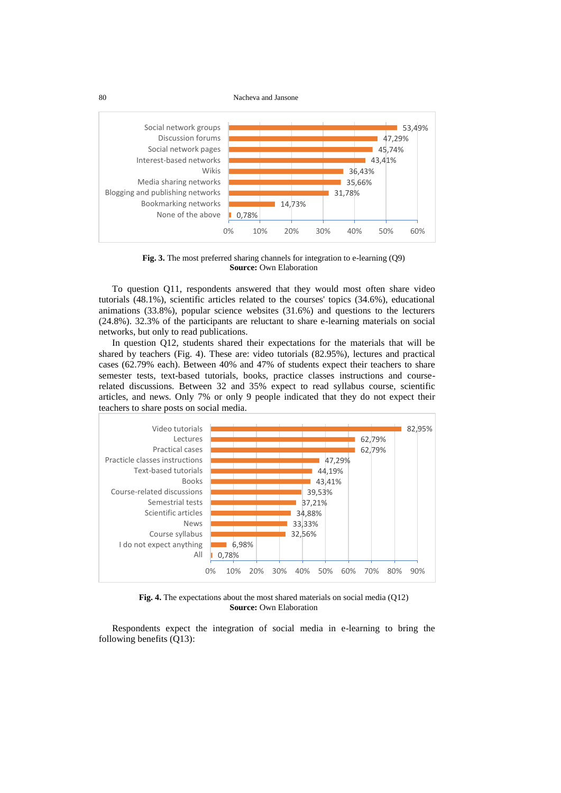80 Nacheva and Jansone



**Fig. 3.** The most preferred sharing channels for integration to e-learning (Q9) **Source:** Own Elaboration

To question Q11, respondents answered that they would most often share video tutorials (48.1%), scientific articles related to the courses' topics (34.6%), educational animations (33.8%), popular science websites (31.6%) and questions to the lecturers (24.8%). 32.3% of the participants are reluctant to share e-learning materials on social networks, but only to read publications.

In question Q12, students shared their expectations for the materials that will be shared by teachers (Fig. 4). These are: video tutorials (82.95%), lectures and practical cases (62.79% each). Between 40% and 47% of students expect their teachers to share semester tests, text-based tutorials, books, practice classes instructions and courserelated discussions. Between 32 and 35% expect to read syllabus course, scientific articles, and news. Only 7% or only 9 people indicated that they do not expect their teachers to share posts on social media.



**Fig. 4.** The expectations about the most shared materials on social media (Q12) **Source:** Own Elaboration

Respondents expect the integration of social media in e-learning to bring the following benefits (Q13):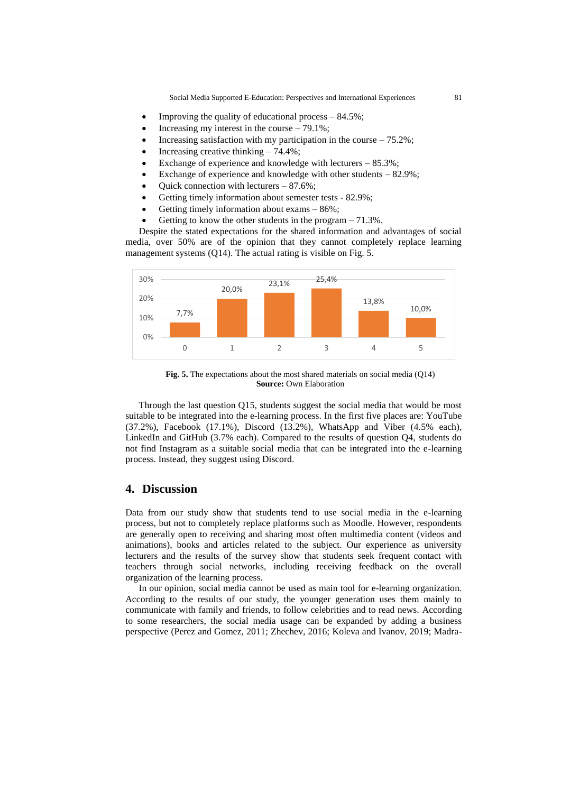Social Media Supported E-Education: Perspectives and International Experiences 81

- Improving the quality of educational process 84.5%;
- Increasing my interest in the course 79.1%;
- Increasing satisfaction with my participation in the course  $-75.2\%$ ;
- Increasing creative thinking 74.4%;
- Exchange of experience and knowledge with lecturers 85.3%;
- Exchange of experience and knowledge with other students  $-82.9\%$ :
- Quick connection with lecturers 87.6%;
- Getting timely information about semester tests 82.9%;
- Getting timely information about exams 86%;
- Getting to know the other students in the program 71.3%.

Despite the stated expectations for the shared information and advantages of social media, over 50% are of the opinion that they cannot completely replace learning management systems (Q14). The actual rating is visible on Fig. 5.



**Fig. 5.** The expectations about the most shared materials on social media (Q14) **Source:** Own Elaboration

Through the last question Q15, students suggest the social media that would be most suitable to be integrated into the e-learning process. In the first five places are: YouTube (37.2%), Facebook (17.1%), Discord (13.2%), WhatsApp and Viber (4.5% each), LinkedIn and GitHub (3.7% each). Compared to the results of question Q4, students do not find Instagram as a suitable social media that can be integrated into the e-learning process. Instead, they suggest using Discord.

# **4. Discussion**

Data from our study show that students tend to use social media in the e-learning process, but not to completely replace platforms such as Moodle. However, respondents are generally open to receiving and sharing most often multimedia content (videos and animations), books and articles related to the subject. Our experience as university lecturers and the results of the survey show that students seek frequent contact with teachers through social networks, including receiving feedback on the overall organization of the learning process.

In our opinion, social media cannot be used as main tool for e-learning organization. According to the results of our study, the younger generation uses them mainly to communicate with family and friends, to follow celebrities and to read news. According to some researchers, the social media usage can be expanded by adding a business perspective (Perez and Gomez, 2011; Zhechev, 2016; Koleva and Ivanov, 2019; Madra-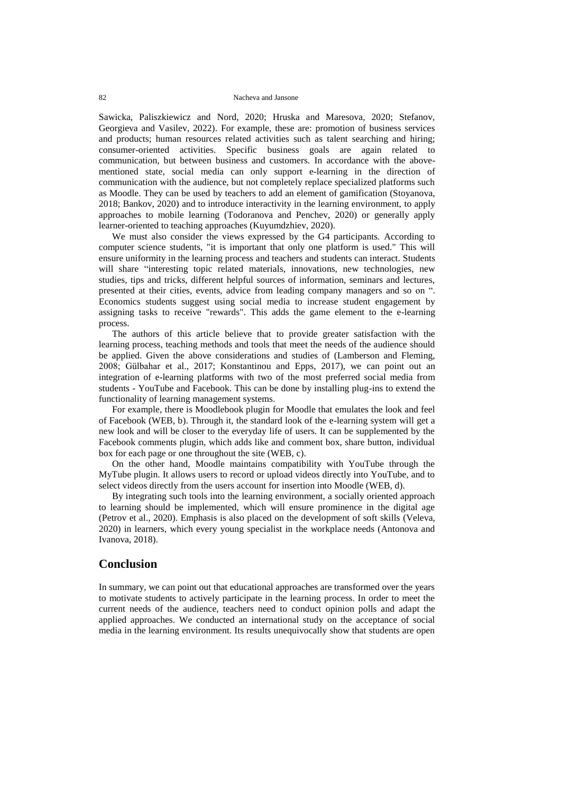Sawicka, Paliszkiewicz and Nord, 2020; Hruska and Maresova, 2020; Stefanov, Georgieva and Vasilev, 2022). For example, these are: promotion of business services and products; human resources related activities such as talent searching and hiring; consumer-oriented activities. Specific business goals are again related to communication, but between business and customers. In accordance with the abovementioned state, social media can only support e-learning in the direction of communication with the audience, but not completely replace specialized platforms such as Moodle. They can be used by teachers to add an element of gamification (Stoyanova, 2018; Bankov, 2020) and to introduce interactivity in the learning environment, to apply approaches to mobile learning (Todoranova and Penchev, 2020) or generally apply learner-oriented to teaching approaches (Kuyumdzhiev, 2020).

We must also consider the views expressed by the G4 participants. According to computer science students, "it is important that only one platform is used." This will ensure uniformity in the learning process and teachers and students can interact. Students will share "interesting topic related materials, innovations, new technologies, new studies, tips and tricks, different helpful sources of information, seminars and lectures, presented at their cities, events, advice from leading company managers and so on ". Economics students suggest using social media to increase student engagement by assigning tasks to receive "rewards". This adds the game element to the e-learning process.

The authors of this article believe that to provide greater satisfaction with the learning process, teaching methods and tools that meet the needs of the audience should be applied. Given the above considerations and studies of (Lamberson and Fleming, 2008; Gülbahar et al., 2017; Konstantinou and Epps, 2017), we can point out an integration of e-learning platforms with two of the most preferred social media from students - YouTube and Facebook. This can be done by installing plug-ins to extend the functionality of learning management systems.

For example, there is Moodlebook plugin for Moodle that emulates the look and feel of Facebook (WEB, b). Through it, the standard look of the e-learning system will get a new look and will be closer to the everyday life of users. It can be supplemented by the Facebook comments plugin, which adds like and comment box, share button, individual box for each page or one throughout the site (WEB, c).

On the other hand, Moodle maintains compatibility with YouTube through the MyTube plugin. It allows users to record or upload videos directly into YouTube, and to select videos directly from the users account for insertion into Moodle (WEB, d).

By integrating such tools into the learning environment, a socially oriented approach to learning should be implemented, which will ensure prominence in the digital age (Petrov et al., 2020). Emphasis is also placed on the development of soft skills (Veleva, 2020) in learners, which every young specialist in the workplace needs (Antonova and Ivanova, 2018).

# **Conclusion**

In summary, we can point out that educational approaches are transformed over the years to motivate students to actively participate in the learning process. In order to meet the current needs of the audience, teachers need to conduct opinion polls and adapt the applied approaches. We conducted an international study on the acceptance of social media in the learning environment. Its results unequivocally show that students are open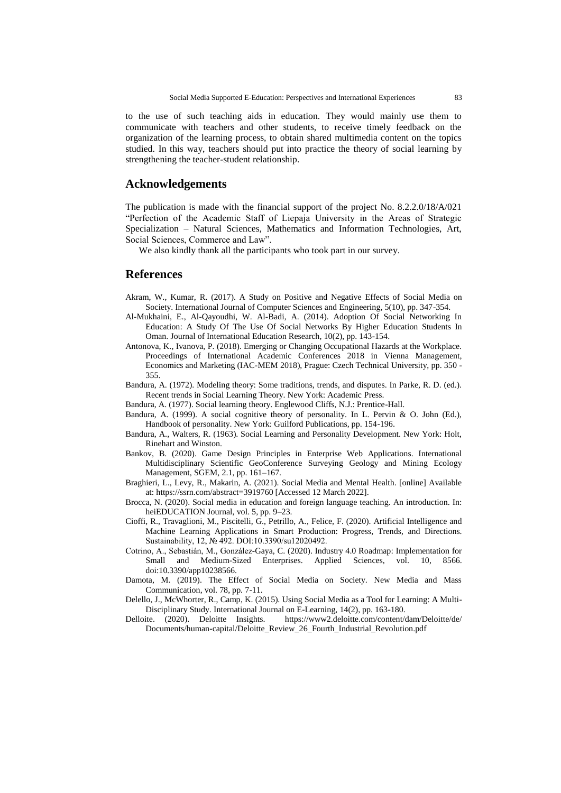to the use of such teaching aids in education. They would mainly use them to communicate with teachers and other students, to receive timely feedback on the organization of the learning process, to obtain shared multimedia content on the topics studied. In this way, teachers should put into practice the theory of social learning by strengthening the teacher-student relationship.

# **Acknowledgements**

The publication is made with the financial support of the project No. 8.2.2.0/18/A/021 "Perfection of the Academic Staff of Liepaja University in the Areas of Strategic Specialization – Natural Sciences, Mathematics and Information Technologies, Art, Social Sciences, Commerce and Law".

We also kindly thank all the participants who took part in our survey.

# **References**

- Akram, W., Kumar, R. (2017). A Study on Positive and Negative Effects of Social Media on Society. International Journal of Computer Sciences and Engineering, 5(10), pp. 347-354.
- Al-Mukhaini, E., Al-Qayoudhi, W. Al-Badi, A. (2014). Adoption Of Social Networking In Education: A Study Of The Use Of Social Networks By Higher Education Students In Oman. Journal of International Education Research, 10(2), pp. 143-154.
- Antonova, K., Ivanova, P. (2018). Emerging or Changing Occupational Hazards at the Workplace. Proceedings of International Academic Conferences 2018 in Vienna Management, Economics and Marketing (IAC-MEM 2018), Prague: Czech Technical University, pp. 350 - 355.
- Bandura, A. (1972). Modeling theory: Some traditions, trends, and disputes. In Parke, R. D. (ed.). Recent trends in Social Learning Theory. New York: Academic Press.
- Bandura, A. (1977). Social learning theory. Englewood Cliffs, N.J.: Prentice-Hall.
- Bandura, A. (1999). A social cognitive theory of personality. In L. Pervin & O. John (Ed.), Handbook of personality. New York: Guilford Publications, pp. 154-196.
- Bandura, A., Walters, R. (1963). Social Learning and Personality Development. New York: Holt, Rinehart and Winston.
- Bankov, B. (2020). Game Design Principles in Enterprise Web Applications. International Multidisciplinary Scientific GeoConference Surveying Geology and Mining Ecology Management, SGEM, 2.1, pp. 161–167.
- Braghieri, L., Levy, R., Makarin, A. (2021). Social Media and Mental Health. [online] Available at: https://ssrn.com/abstract=3919760 [Accessed 12 March 2022].
- Brocca, N. (2020). Social media in education and foreign language teaching. An introduction. In: heiEDUCATION Journal, vol. 5, pp. 9–23.
- Cioffi, R., Travaglioni, M., Piscitelli, G., Petrillo, A., Felice, F. (2020). Artificial Intelligence and Machine Learning Applications in Smart Production: Progress, Trends, and Directions. Sustainability, 12, № 492. DOI:10.3390/su12020492.
- Cotrino, A., Sebastián, M., González-Gaya, C. (2020). Industry 4.0 Roadmap: Implementation for Small and Medium-Sized Enterprises. Applied Sciences, vol. 10, 8566. doi:10.3390/app10238566.
- Damota, M. (2019). The Effect of Social Media on Society. New Media and Mass Communication, vol. 78, pp. 7-11.
- Delello, J., McWhorter, R., Camp, K. (2015). Using Social Media as a Tool for Learning: A Multi-Disciplinary Study. International Journal on E-Learning, 14(2), pp. 163-180.<br>Delloite. (2020). Deloitte Insights. https://www2.deloitte.com/content/
- <https://www2.deloitte.com/content/dam/Deloitte/de/> Documents/human-capital/Deloitte\_Review\_26\_Fourth\_Industrial\_Revolution.pdf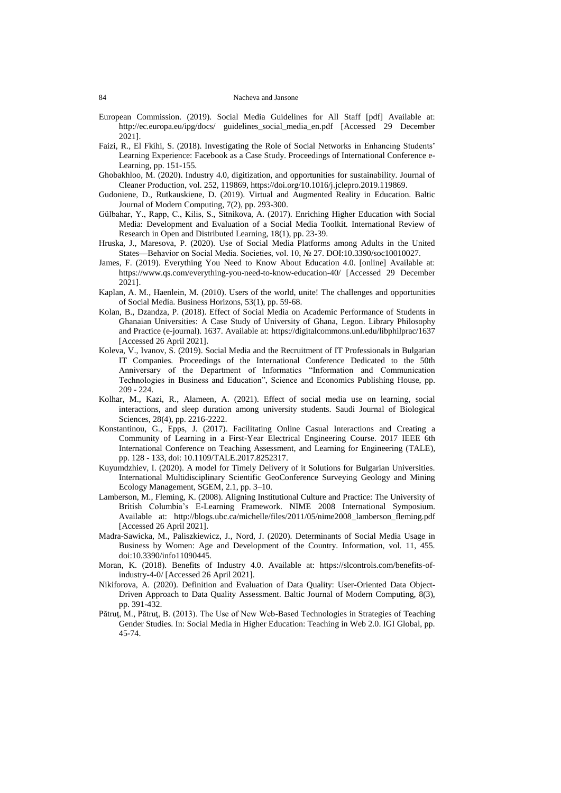- European Commission. (2019). Social Media Guidelines for All Staff [pdf] Available at: http://ec.europa.eu/ipg/docs/ guidelines\_social\_media\_en.pdf [Accessed 29 December 2021].
- Faizi, R., El Fkihi, S. (2018). Investigating the Role of Social Networks in Enhancing Students' Learning Experience: Facebook as a Case Study. Proceedings of International Conference e-Learning, pp. 151-155.
- Ghobakhloo, M. (2020). Industry 4.0, digitization, and opportunities for sustainability. Journal of Cleaner Production, vol. 252, 119869, [https://doi.org/10.1016/j.jclepro.2019.119869.](https://doi.org/10.1016/j.jclepro.2019.119869)
- Gudoniene, D., Rutkauskiene, D. (2019). Virtual and Augmented Reality in Education. Baltic Journal of Modern Computing, 7(2), pp. 293-300.
- Gülbahar, Y., Rapp, C., Kilis, S., Sitnikova, A. (2017). Enriching Higher Education with Social Media: Development and Evaluation of a Social Media Toolkit. International Review of Research in Open and Distributed Learning, 18(1), pp. 23-39.
- Hruska, J., Maresova, P. (2020). Use of Social Media Platforms among Adults in the United States—Behavior on Social Media. Societies, vol. 10, № 27. DOI:10.3390/soc10010027.
- James, F. (2019). Everything You Need to Know About Education 4.0. [online] Available at: https://www.qs.com/everything-you-need-to-know-education-40/ [Accessed 29 December 2021].
- Kaplan, A. M., Haenlein, M. (2010). Users of the world, unite! The challenges and opportunities of Social Media. Business Horizons, 53(1), pp. 59-68.
- Kolan, B., Dzandza, P. (2018). Effect of Social Media on Academic Performance of Students in Ghanaian Universities: A Case Study of University of Ghana, Legon. Library Philosophy and Practice (e-journal). 1637. Available at:<https://digitalcommons.unl.edu/libphilprac/1637> [Accessed 26 April 2021].
- Koleva, V., Ivanov, S. (2019). Social Media and the Recruitment of IT Professionals in Bulgarian IT Companies. Proceedings of the International Conference Dedicated to the 50th Anniversary of the Department of Informatics "Information and Communication Technologies in Business and Education", Science and Economics Publishing House, pp. 209 - 224.
- Kolhar, M., Kazi, R., Alameen, A. (2021). Effect of social media use on learning, social interactions, and sleep duration among university students. Saudi Journal of Biological Sciences, 28(4), pp. 2216-2222.
- Konstantinou, G., Epps, J. (2017). Facilitating Online Casual Interactions and Creating a Community of Learning in a First-Year Electrical Engineering Course. 2017 IEEE 6th International Conference on Teaching Assessment, and Learning for Engineering (TALE), pp. 128 - 133, doi: 10.1109/TALE.2017.8252317.
- Kuyumdzhiev, I. (2020). A model for Timely Delivery of it Solutions for Bulgarian Universities. International Multidisciplinary Scientific GeoConference Surveying Geology and Mining Ecology Management, SGEM, 2.1, pp. 3–10.
- Lamberson, M., Fleming, K. (2008). Aligning Institutional Culture and Practice: The University of British Columbia's E-Learning Framework. NIME 2008 International Symposium. Available at: http://blogs.ubc.ca/michelle/files/2011/05/nime2008\_lamberson\_fleming.pdf [Accessed 26 April 2021].
- Madra-Sawicka, M., Paliszkiewicz, J., Nord, J. (2020). Determinants of Social Media Usage in Business by Women: Age and Development of the Country. Information, vol. 11, 455. doi:10.3390/info11090445.
- Moran, K. (2018). Benefits of Industry 4.0. Available at: https://slcontrols.com/benefits-ofindustry-4-0/ [Accessed 26 April 2021].
- Nikiforova, A. (2020). Definition and Evaluation of Data Quality: User-Oriented Data Object-Driven Approach to Data Quality Assessment. Baltic Journal of Modern Computing, 8(3), pp. 391-432.
- Pătruţ, M., Pătruţ, B. (2013). The Use of New Web-Based Technologies in Strategies of Teaching Gender Studies. In: Social Media in Higher Education: Teaching in Web 2.0. IGI Global, pp. 45-74.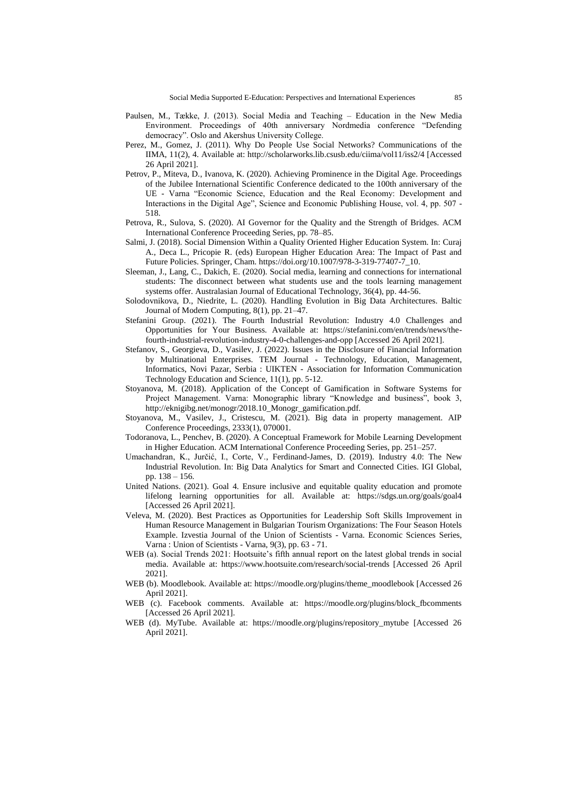- Paulsen, M., Tække, J. (2013). Social Media and Teaching Education in the New Media Environment. Proceedings of 40th anniversary Nordmedia conference "Defending democracy". Oslo and Akershus University College.
- Perez, M., Gomez, J. (2011). Why Do People Use Social Networks? Communications of the IIMA, 11(2), 4. Available at: http://scholarworks.lib.csusb.edu/ciima/vol11/iss2/4 [Accessed 26 April 2021].
- Petrov, P., Miteva, D., Ivanova, K. (2020). Achieving Prominence in the Digital Age. Proceedings of the Jubilee International Scientific Conference dedicated to the 100th anniversary of the UE - Varna "Economic Science, Education and the Real Economy: Development and Interactions in the Digital Age", Science and Economic Publishing House, vol. 4, pp. 507 - 518.
- Petrova, R., Sulova, S. (2020). AI Governor for the Quality and the Strength of Bridges. ACM International Conference Proceeding Series, pp. 78–85.
- Salmi, J. (2018). Social Dimension Within a Quality Oriented Higher Education System. In: Curaj A., Deca L., Pricopie R. (eds) European Higher Education Area: The Impact of Past and Future Policies. Springer, Cham. [https://doi.org/10.1007/978-3-319-77407-7\\_10.](https://doi.org/10.1007/978-3-319-77407-7_10)
- Sleeman, J., Lang, C., Dakich, E. (2020). Social media, learning and connections for international students: The disconnect between what students use and the tools learning management systems offer. Australasian Journal of Educational Technology, 36(4), pp. 44-56.
- Solodovnikova, D., Niedrite, L. (2020). Handling Evolution in Big Data Architectures. Baltic Journal of Modern Computing, 8(1), pp. 21–47.
- Stefanini Group. (2021). The Fourth Industrial Revolution: Industry 4.0 Challenges and Opportunities for Your Business. Available at: https://stefanini.com/en/trends/news/thefourth-industrial-revolution-industry-4-0-challenges-and-opp [Accessed 26 April 2021].
- Stefanov, S., Georgieva, D., Vasilev, J. (2022). Issues in the Disclosure of Financial Information by Multinational Enterprises. TEM Journal - Technology, Education, Management, Informatics, Novi Pazar, Serbia : UIKTEN - Association for Information Communication Technology Education and Science, 11(1), pp. 5-12.
- Stoyanova, M. (2018). Application of the Concept of Gamification in Software Systems for Project Management. Varna: Monographic library "Knowledge and business", book 3, http://eknigibg.net/monogr/2018.10\_Monogr\_gamification.pdf.
- Stoyanova, M., Vasilev, J., Cristescu, M. (2021). Big data in property management. AIP Conference Proceedings, 2333(1), 070001.
- Todoranova, L., Penchev, B. (2020). A Conceptual Framework for Mobile Learning Development in Higher Education. ACM International Conference Proceeding Series, pp. 251–257.
- Umachandran, K., Jurčić, I., Corte, V., Ferdinand-James, D. (2019). Industry 4.0: The New Industrial Revolution. In: Big Data Analytics for Smart and Connected Cities. IGI Global, pp. 138 – 156.
- United Nations. (2021). Goal 4. Ensure inclusive and equitable quality education and promote lifelong learning opportunities for all. Available at: https://sdgs.un.org/goals/goal4 [Accessed 26 April 2021].
- Veleva, M. (2020). Best Practices as Opportunities for Leadership Soft Skills Improvement in Human Resource Management in Bulgarian Tourism Organizations: The Four Season Hotels Example. Izvestia Journal of the Union of Scientists - Varna. Economic Sciences Series, Varna : Union of Scientists - Varna, 9(3), pp. 63 - 71.
- WEB (a). Social Trends 2021: Hootsuite's fifth annual report on the latest global trends in social media. Available at: https://www.hootsuite.com/research/social-trends [Accessed 26 April 2021].
- WEB (b). Moodlebook. Available at: https://moodle.org/plugins/theme\_moodlebook [Accessed 26 April 2021].
- WEB (c). Facebook comments. Available at: https://moodle.org/plugins/block\_fbcomments [Accessed 26 April 2021].
- WEB (d). MyTube. Available at: https://moodle.org/plugins/repository\_mytube [Accessed 26 April 2021].